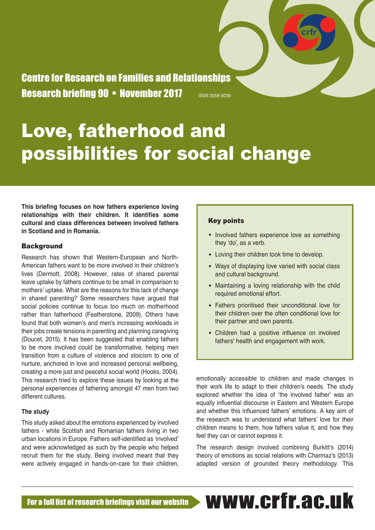Centre for Research on Families and Relationships Research briefing 90 • November 2017 **ISSN 2058-5039** 

# Love, fatherhood and possibilities for social change

**This briefing focuses on how fathers experience loving relationships with their children. It identifies some cultural and class differences between involved fathers in Scotland and in Romania.** 

# **Background**

Research has shown that Western-European and North-American fathers want to be more involved in their children's lives (Dermott, 2008). However, rates of shared parental leave uptake by fathers continue to be small in comparison to mothers' uptake. What are the reasons for this lack of change in shared parenting? Some researchers have argued that social policies continue to focus too much on motherhood rather than fatherhood (Featherstone, 2009). Others have found that both women's and men's increasing workloads in their jobs create tensions in parenting and planning caregiving (Doucet, 2015). It has been suggested that enabling fathers to be more involved could be transformative, helping men transition from a culture of violence and stoicism to one of nurture, anchored in love and increased personal wellbeing, creating a more just and peaceful social world (Hooks, 2004). This research tried to explore these issues by looking at the personal experiences of fathering amongst 47 men from two different cultures.

#### **The study**

This study asked about the emotions experienced by involved fathers - white Scottish and Romanian fathers living in two urban locations in Europe. Fathers self-identified as 'involved' and were acknowledged as such by the people who helped recruit them for the study. Being involved meant that they were actively engaged in hands-on-care for their children,

# Key points

• Involved fathers experience love as something they 'do', as a verb.

**crfr**

- Loving their children took time to develop.
- Ways of displaying love varied with social class and cultural background.
- Maintaining a loving relationship with the child required emotional effort.
- Fathers prioritised their unconditional love for their children over the often conditional love for their partner and own parents.
- Children had a positive influence on involved fathers' health and engagement with work.

emotionally accessible to children and made changes in their work life to adapt to their children's needs. The study explored whether the idea of 'the involved father' was an equally influential discourse in Eastern and Western Europe and whether this influenced fathers' emotions. A key aim of the research was to understand what fathers' love for their children means to them, how fathers value it, and how they feel they can or cannot express it.

The research design involved combining Burkitt's (2014) theory of emotions as social relations with Charmaz's (2013) adapted version of grounded theory methodology. This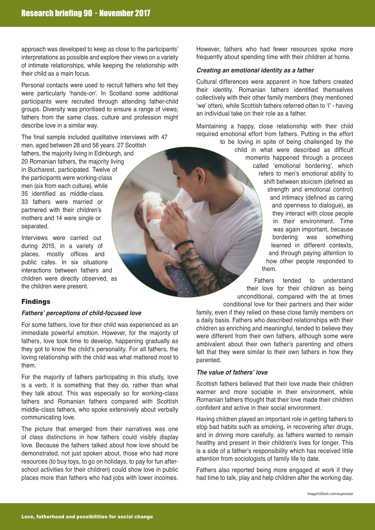approach was developed to keep as close to the participants' interpretations as possible and explore their views on a variety of intimate relationships, while keeping the relationship with their child as a main focus.

Personal contacts were used to recruit fathers who felt they were particularly 'hands-on'. In Scotland some additional participants were recruited through attending father-child groups. Diversity was prioritised to ensure a range of views; fathers from the same class, culture and profession might describe love in a similar way.

The final sample included qualitative interviews with 47 men, aged between 28 and 56 years. 27 Scottish fathers, the majority living in Edinburgh, and 20 Romanian fathers, the majority living in Bucharest, participated. Twelve of the participants were working-class men (six from each culture), while 35 identified as middle-class. 33 fathers were married or partnered with their children's mothers and 14 were single or separated.

Interviews were carried out during 2015, in a variety of places, mostly offices and public cafes. In six situations interactions between fathers and children were directly observed, as the children were present.

# Findings

# **Fathers' perceptions of child-focused love**

For some fathers, love for their child was experienced as an immediate powerful emotion. However, for the majority of fathers, love took time to develop, happening gradually as they got to know the child's personality. For all fathers, the loving relationship with the child was what mattered most to them.

For the majority of fathers participating in this study, love is a verb, it is something that they do, rather than what they talk about. This was especially so for working-class fathers and Romanian fathers compared with Scottish middle-class fathers, who spoke extensively about verbally communicating love.

The picture that emerged from their narratives was one of class distinctions in how fathers could visibly display love. Because the fathers talked about how love should be demonstrated, not just spoken about, those who had more resources (to buy toys, to go on holidays, to pay for fun afterschool activities for their children) could show love in public places more than fathers who had jobs with lower incomes.

However, fathers who had fewer resources spoke more frequently about spending time with their children at home.

#### **Creating an emotional identity as a father**

Cultural differences were apparent in how fathers created their identity. Romanian fathers identified themselves collectively with their other family members (they mentioned 'we' often), while Scottish fathers referred often to 'I' - having an individual take on their role as a father.

Maintaining a happy, close relationship with their child required emotional effort from fathers. Putting in the effort to be loving in spite of being challenged by the child in what were described as difficult moments happened through a process called 'emotional bordering', which refers to men's emotional ability to shift between stoicism (defined as strength and emotional control) and intimacy (defined as caring and openness to dialogue), as they interact with close people in their environment. Time was again important, because<br>bordering was something was something learned in different contexts, and through paying attention to how other people responded to

them.

Fathers tended to understand their love for their children as being unconditional, compared with the at times conditional love for their partners and their wider

family, even if they relied on these close family members on a daily basis. Fathers who described relationships with their children as enriching and meaningful, tended to believe they were different from their own fathers, although some were ambivalent about their own father's parenting and others felt that they were similar to their own fathers in how they parented.

# **The value of fathers' love**

Scottish fathers believed that their love made their children warmer and more sociable in their environment, while Romanian fathers thought that their love made their children confident and active in their social environment.

Having children played an important role in getting fathers to stop bad habits such as smoking, in recovering after drugs, and in driving more carefully, as fathers wanted to remain healthy and present in their children's lives for longer. This is a side of a father's responsibility which has received little attention from sociologists of family life to date.

Fathers also reported being more engaged at work if they had time to talk, play and help children after the working day.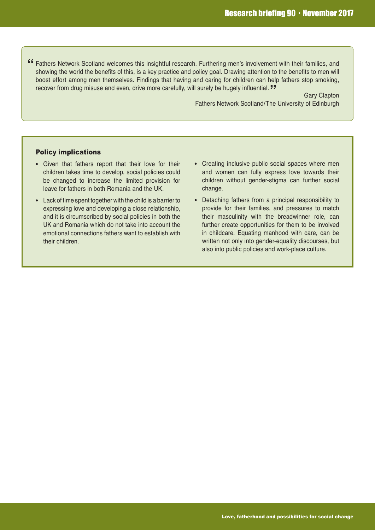**"** Fathers Network Scotland welcomes this insightful research. Furthering men's involvement with their families, and **"** recover from drug misuse and even, drive more carefully, will surely be hugely influential. showing the world the benefits of this, is a key practice and policy goal. Drawing attention to the benefits to men will boost effort among men themselves. Findings that having and caring for children can help fathers stop smoking,

Gary Clapton Fathers Network Scotland/The University of Edinburgh

#### Policy implications

- Given that fathers report that their love for their children takes time to develop, social policies could be changed to increase the limited provision for leave for fathers in both Romania and the UK.
- Lack of time spent together with the child is a barrier to expressing love and developing a close relationship, and it is circumscribed by social policies in both the UK and Romania which do not take into account the emotional connections fathers want to establish with their children.
- Creating inclusive public social spaces where men and women can fully express love towards their children without gender-stigma can further social change.
- Detaching fathers from a principal responsibility to provide for their families, and pressures to match their masculinity with the breadwinner role, can further create opportunities for them to be involved in childcare. Equating manhood with care, can be written not only into gender-equality discourses, but also into public policies and work-place culture.